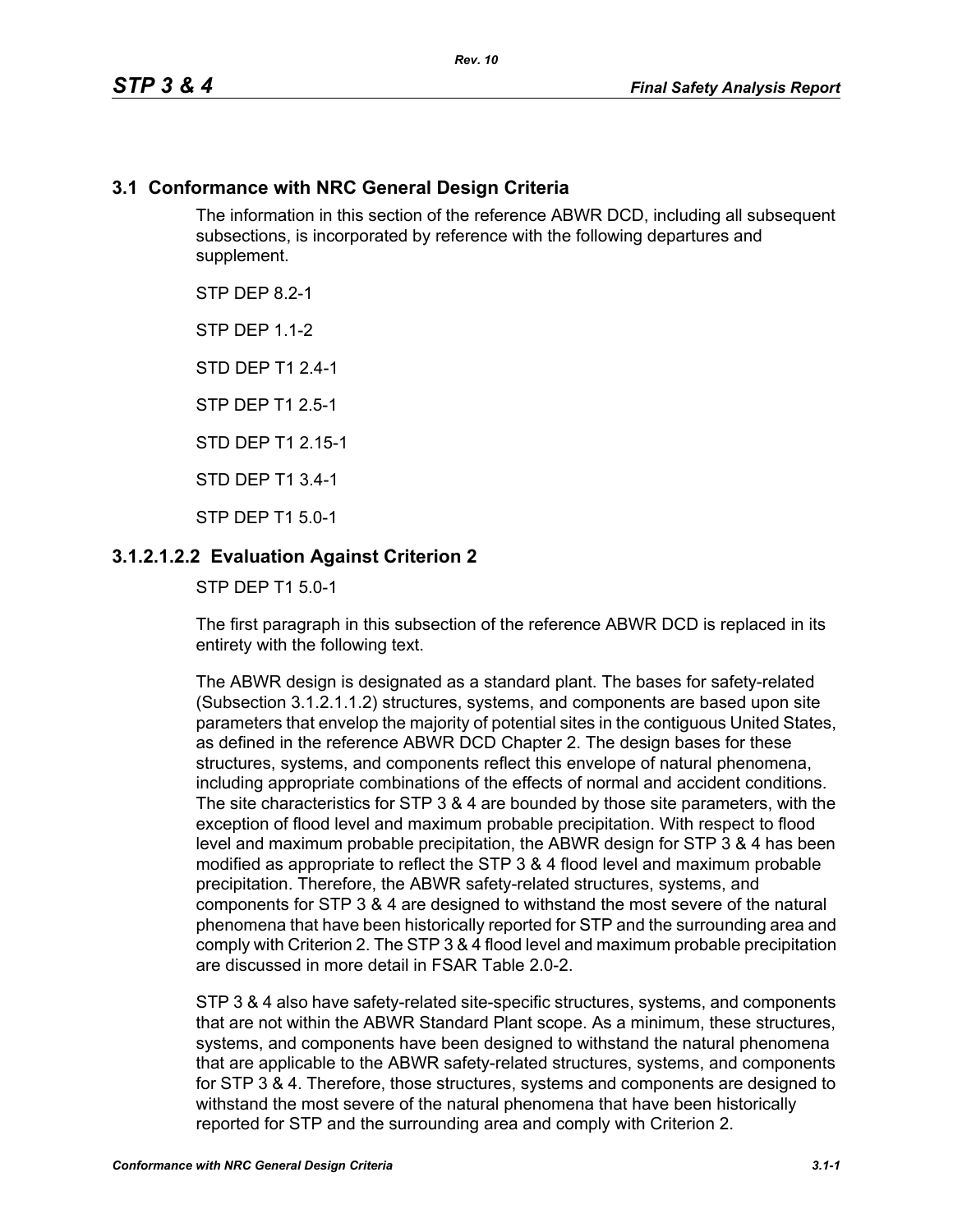# **3.1 Conformance with NRC General Design Criteria**

The information in this section of the reference ABWR DCD, including all subsequent subsections, is incorporated by reference with the following departures and supplement.

STP DFP 82-1

**STP DFP 1 1-2** 

STD DEP T1 2.4-1

STP DEP T1 2.5-1

STD DEP T1 2 15-1

STD DEP T1 3.4-1

STP DEP T1 5.0-1

# **3.1.2.1.2.2 Evaluation Against Criterion 2**

STP DEP T1 5.0-1

The first paragraph in this subsection of the reference ABWR DCD is replaced in its entirety with the following text.

The ABWR design is designated as a standard plant. The bases for safety-related (Subsection 3.1.2.1.1.2) structures, systems, and components are based upon site parameters that envelop the majority of potential sites in the contiguous United States, as defined in the reference ABWR DCD Chapter 2. The design bases for these structures, systems, and components reflect this envelope of natural phenomena, including appropriate combinations of the effects of normal and accident conditions. The site characteristics for STP 3 & 4 are bounded by those site parameters, with the exception of flood level and maximum probable precipitation. With respect to flood level and maximum probable precipitation, the ABWR design for STP 3 & 4 has been modified as appropriate to reflect the STP 3 & 4 flood level and maximum probable precipitation. Therefore, the ABWR safety-related structures, systems, and components for STP 3 & 4 are designed to withstand the most severe of the natural phenomena that have been historically reported for STP and the surrounding area and comply with Criterion 2. The STP 3 & 4 flood level and maximum probable precipitation are discussed in more detail in FSAR Table 2.0-2.

STP 3 & 4 also have safety-related site-specific structures, systems, and components that are not within the ABWR Standard Plant scope. As a minimum, these structures, systems, and components have been designed to withstand the natural phenomena that are applicable to the ABWR safety-related structures, systems, and components for STP 3 & 4. Therefore, those structures, systems and components are designed to withstand the most severe of the natural phenomena that have been historically reported for STP and the surrounding area and comply with Criterion 2.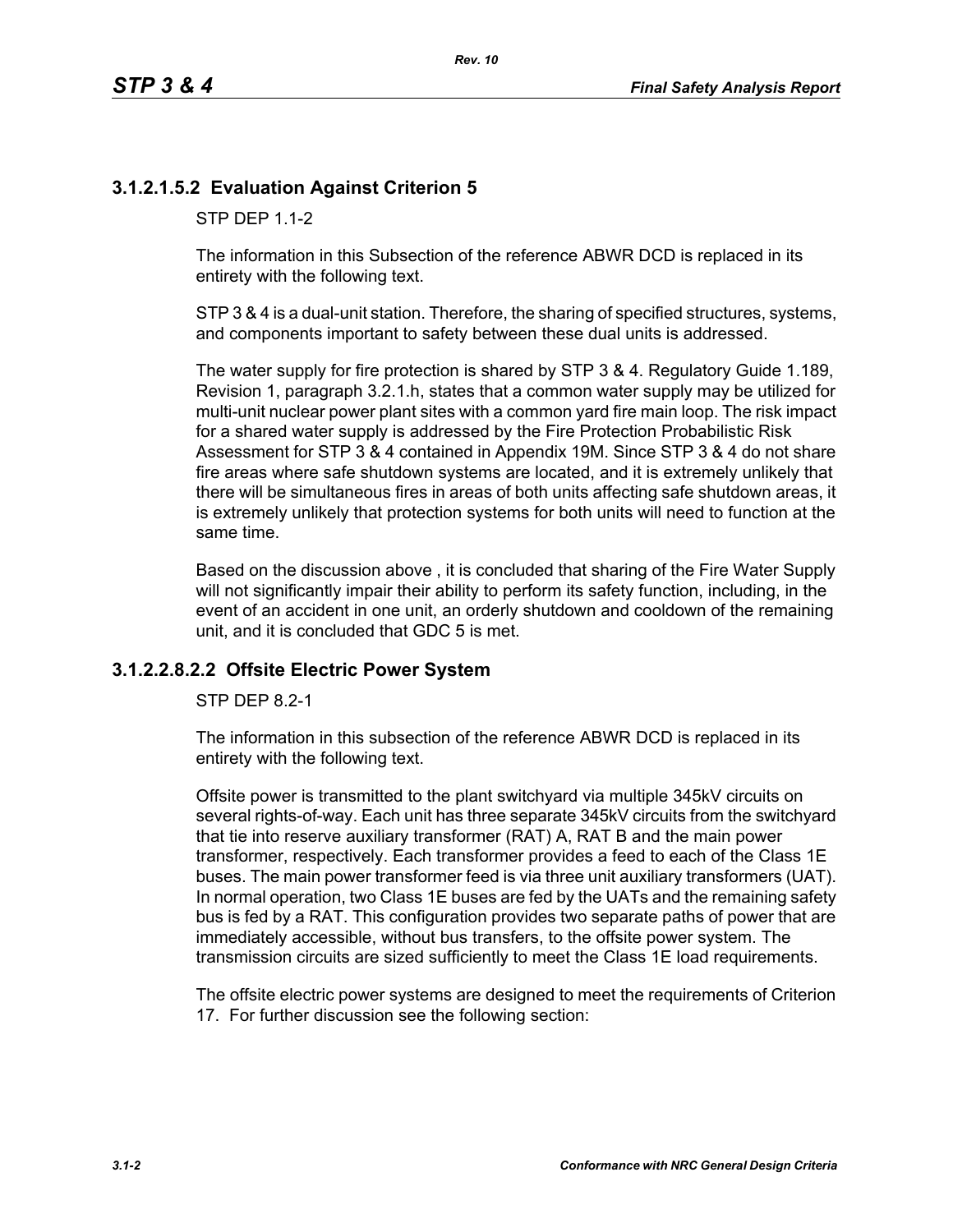# **3.1.2.1.5.2 Evaluation Against Criterion 5**

STP DFP 1 1-2

The information in this Subsection of the reference ABWR DCD is replaced in its entirety with the following text.

STP 3 & 4 is a dual-unit station. Therefore, the sharing of specified structures, systems, and components important to safety between these dual units is addressed.

The water supply for fire protection is shared by STP 3 & 4. Regulatory Guide 1.189, Revision 1, paragraph 3.2.1.h, states that a common water supply may be utilized for multi-unit nuclear power plant sites with a common yard fire main loop. The risk impact for a shared water supply is addressed by the Fire Protection Probabilistic Risk Assessment for STP 3 & 4 contained in Appendix 19M. Since STP 3 & 4 do not share fire areas where safe shutdown systems are located, and it is extremely unlikely that there will be simultaneous fires in areas of both units affecting safe shutdown areas, it is extremely unlikely that protection systems for both units will need to function at the same time.

Based on the discussion above , it is concluded that sharing of the Fire Water Supply will not significantly impair their ability to perform its safety function, including, in the event of an accident in one unit, an orderly shutdown and cooldown of the remaining unit, and it is concluded that GDC 5 is met.

#### **3.1.2.2.8.2.2 Offsite Electric Power System**

STP DEP 8.2-1

The information in this subsection of the reference ABWR DCD is replaced in its entirety with the following text.

Offsite power is transmitted to the plant switchyard via multiple 345kV circuits on several rights-of-way. Each unit has three separate 345kV circuits from the switchyard that tie into reserve auxiliary transformer (RAT) A, RAT B and the main power transformer, respectively. Each transformer provides a feed to each of the Class 1E buses. The main power transformer feed is via three unit auxiliary transformers (UAT). In normal operation, two Class 1E buses are fed by the UATs and the remaining safety bus is fed by a RAT. This configuration provides two separate paths of power that are immediately accessible, without bus transfers, to the offsite power system. The transmission circuits are sized sufficiently to meet the Class 1E load requirements.

The offsite electric power systems are designed to meet the requirements of Criterion 17. For further discussion see the following section: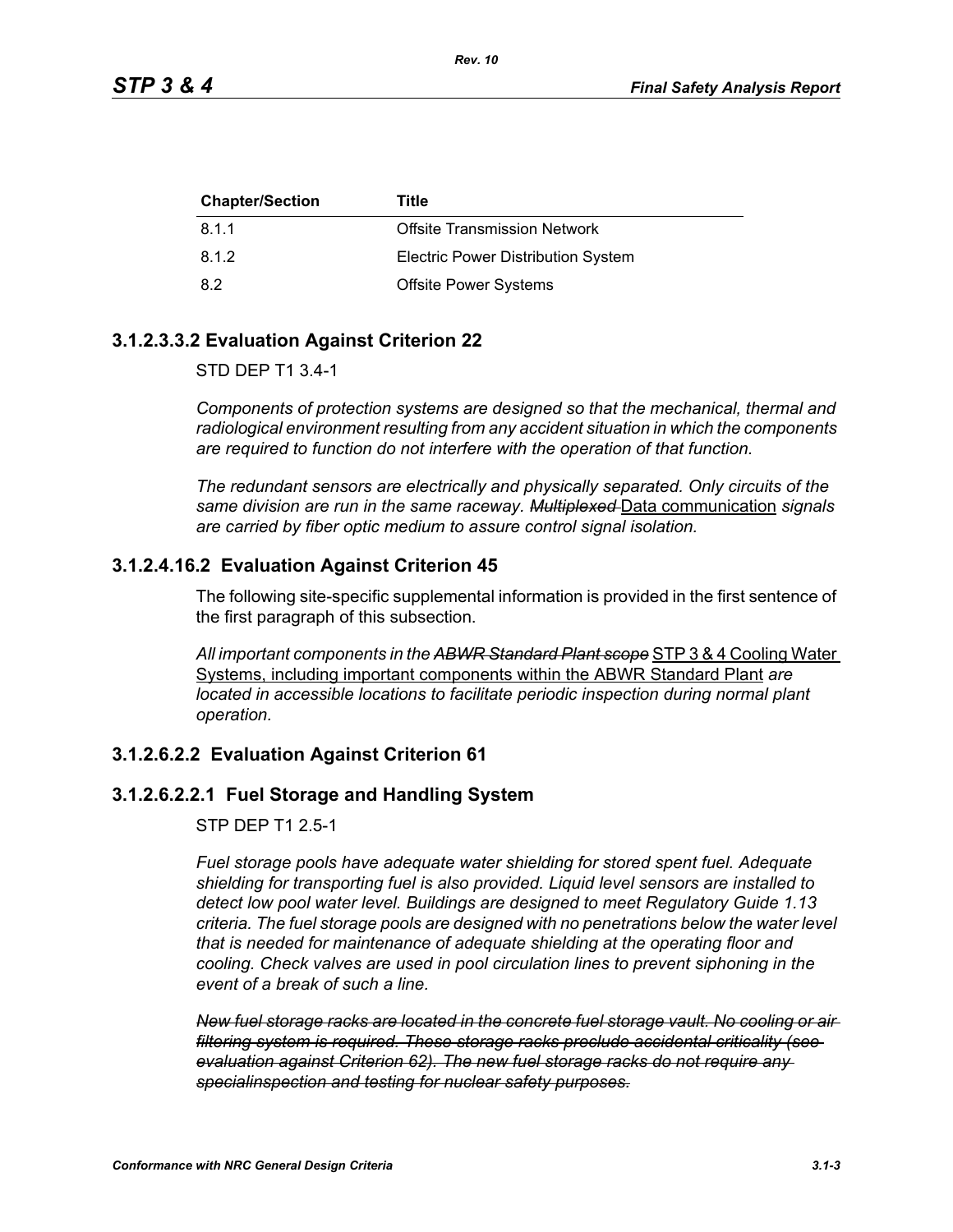| <b>Chapter/Section</b> | Title                                     |
|------------------------|-------------------------------------------|
| 8.1.1                  | <b>Offsite Transmission Network</b>       |
| 8.1.2                  | <b>Electric Power Distribution System</b> |
| 8.2                    | <b>Offsite Power Systems</b>              |

# **3.1.2.3.3.2 Evaluation Against Criterion 22**

STD DEP T1 3.4-1

*Components of protection systems are designed so that the mechanical, thermal and radiological environment resulting from any accident situation in which the components are required to function do not interfere with the operation of that function.* 

*The redundant sensors are electrically and physically separated. Only circuits of the same division are run in the same raceway. Multiplexed* Data communication *signals are carried by fiber optic medium to assure control signal isolation.*

### **3.1.2.4.16.2 Evaluation Against Criterion 45**

The following site-specific supplemental information is provided in the first sentence of the first paragraph of this subsection.

*All important components in the ABWR Standard Plant scope* STP 3 & 4 Cooling Water Systems, including important components within the ABWR Standard Plant *are located in accessible locations to facilitate periodic inspection during normal plant operation.*

### **3.1.2.6.2.2 Evaluation Against Criterion 61**

# **3.1.2.6.2.2.1 Fuel Storage and Handling System**

STP DEP T1 2.5-1

*Fuel storage pools have adequate water shielding for stored spent fuel. Adequate shielding for transporting fuel is also provided. Liquid level sensors are installed to detect low pool water level. Buildings are designed to meet Regulatory Guide 1.13 criteria. The fuel storage pools are designed with no penetrations below the water level that is needed for maintenance of adequate shielding at the operating floor and cooling. Check valves are used in pool circulation lines to prevent siphoning in the event of a break of such a line.*

*New fuel storage racks are located in the concrete fuel storage vault. No cooling or air filtering system is required. These storage racks preclude accidental criticality (see evaluation against Criterion 62). The new fuel storage racks do not require any specialinspection and testing for nuclear safety purposes.*